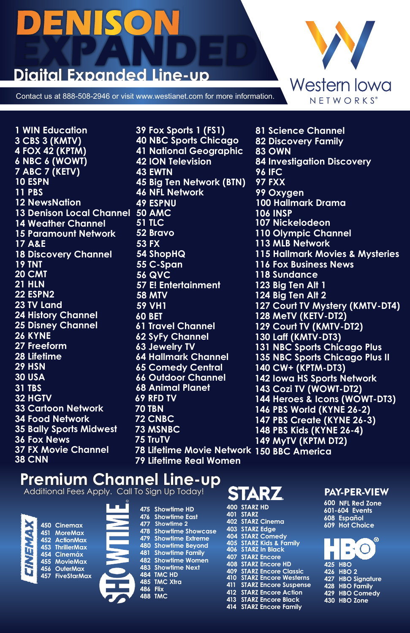## DENIS

# **EXPANDED**

Contact us at 888-508-2946 or visit www.westianet.com for more information.



**10 ESPN 12 NewsNation 15 Paramount Network 17 A&E 18 Discovery Channel 19 TNT 20 CMT 21 HLN 22 ESPN2 23 TV Land 24 History Channel 25 Disney Channel 27 Freeform 28 Lifetime 30 USA 31 TBS 32 HGTV 33 Cartoon Network 34 Food Network 35 Bally Sports Midwest 36 Fox News 37 FX Movie Channel 38 CNN**  13 Denison Local Channel 50 AMC **1 WIN Education 3 CBS 3 (KMTV) 4 FOX 42 (KPTM) 6 NBC 6 (WOWT) 7 ABC 7 (KETV) 11 PBS 14 Weather Channel 26 KYNE 29 HSN** 

**39 Fox Sports 1 (FS1) 40 NBC Sports Chicago 63 Jewelry TV 53 FX 54 ShopHQ 57 E! Entertainment 58 MTV 59 VH1 60 BET 61 Travel Channel 62 SyFy Channel 64 Hallmark Channel 65 Comedy Central 66 Outdoor Channel 68 Animal Planet 69 RFD TV 72 CNBC 73 MSNBC 75 TruTV 41 National Geographic 45 Big Ten Network (BTN) 46 NFL Network 51 TLC 49 ESPNU 52 Bravo 78 Lifetime Movie Network 150 BBC America79 Lifetime Real Women 42 ION Television 43 EWTN 55 C-Span 56 QVC 70 TBN** 

**116 Fox Business News 123 Big Ten Alt 1 124 Big Ten Alt 2 131 NBC Sports Chicago Plus 135 NBC Sports Chicago Plus II 115 Hallmark Movies & Mysteries 81 Science Channel 82 Discovery Family 83 OWN 84 Investigation Discovery 97 FXX 100 Hallmark Drama 106 INSP 107 Nickelodeon 110 Olympic Channel 113 MLB Network 99 Oxygen 128 MeTV (KETV-DT2) 129 Court TV (KMTV-DT2) 130 Laff (KMTV-DT3) 140 CW+ (KPTM-DT3) 143 Cozi TV (WOWT-DT2) 144 Heroes & Icons (WOWT-DT3) 146 PBS World (KYNE 26-2) 147 PBS Create (KYNE 26-3) 148 PBS Kids (KYNE 26-4) 149 MyTV (KPTM DT2) 142 Iowa HS Sports Network 127 Court TV Mystery (KMTV-DT4) 96 IFC 118 Sundance** 

### **Premium Channel Line-up**

Additional Fees Apply. Call To Sign Up Today! **Far STARZ** PAY-PER-VIEW



**450 Cinemax 451 MoreMax 452 ActionMax 453 ThrillerMax 454 Cinemáx 455 MovieMax 456 OuterMax 457 FiveStarMax**



| 475      | <b>Showlime HD</b>             |
|----------|--------------------------------|
| 476      | <b>Showtime East</b>           |
| 477      | Showlime 2                     |
| 478      | <b>Showtime Showcase</b>       |
| 479      | <b>Showlime Extreme</b>        |
| 480      | <b>Showlime Beyond</b>         |
| 481      | <b>Showlime Family</b>         |
|          | 482 Showtime Women             |
|          | 483 Show <del>li</del> me Next |
|          | 484 TMC HD                     |
|          | 485 TMC Xtra                   |
| 486 Flix |                                |
|          | 488 TMC                        |
|          |                                |

| 400 | <b>STARZ HD</b>              |
|-----|------------------------------|
| 401 | <b>STARZ</b>                 |
| 402 | <b>STARZ Cinema</b>          |
| 403 | <b>STARZ Edge</b>            |
| 404 | <b>STARZ Comedy</b>          |
|     | 405 STARZ Kids & Family      |
| 406 | <b>STARZ In Black</b>        |
| 407 | <b>STARZ Encore</b>          |
| 408 | <b>STARZ Encore HD</b>       |
| 409 | <b>STARZ Encore Classic</b>  |
| 410 | <b>STARZ Encore Westerns</b> |
| 411 | <b>STARZ Encore Suspense</b> |
| 412 | <b>STARZ Encore Action</b>   |
| 413 | <b>STARZ Encore Black</b>    |
| 414 | <b>STARZ Encore Family</b>   |
|     |                              |

**600 NFL Red Zone 601-604 Events 608 Español 609 Hot Choice**

| ര                 |
|-------------------|
| 425 HBO           |
| 426 HBO 2         |
| 427 HBO Signature |
| 428 HBO Family    |
| 429 HBO Comedy    |
| 430 HBO Zone      |